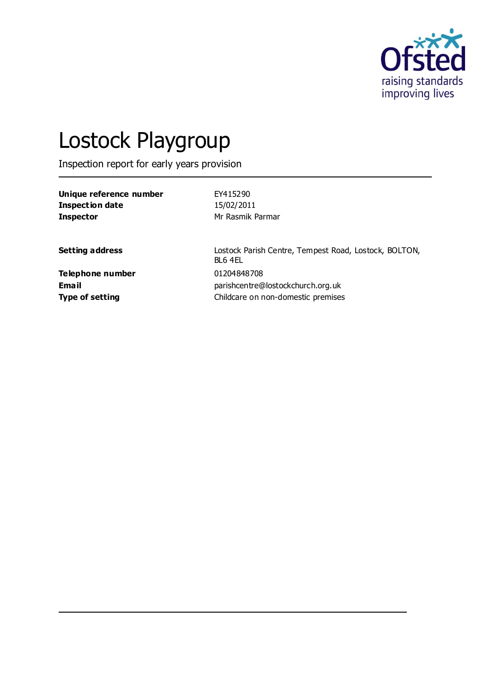

# Lostock Playgroup

Inspection report for early years provision

| Unique reference number | EY415290         |
|-------------------------|------------------|
| Inspection date         | 15/02/2011       |
| Inspector               | Mr Rasmik Parmar |

Setting address **Setting address** Lostock Parish Centre, Tempest Road, Lostock, BOLTON, BL6 4EL **Telephone number** 01204848708 **Email** parishcentre@lostockchurch.org.uk **Type of setting Childcare on non-domestic premises**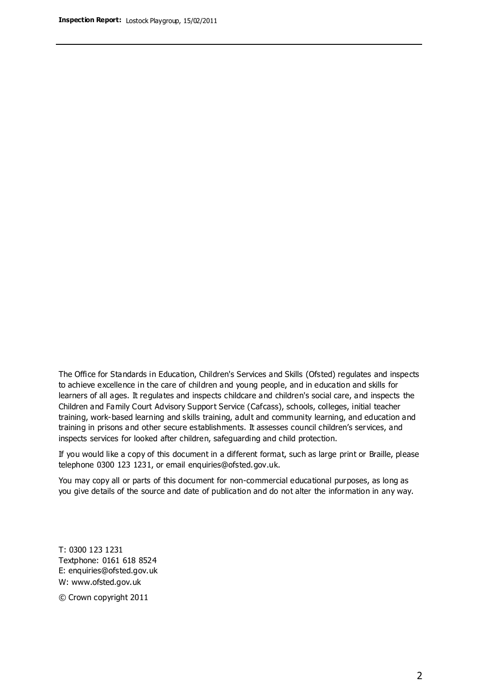The Office for Standards in Education, Children's Services and Skills (Ofsted) regulates and inspects to achieve excellence in the care of children and young people, and in education and skills for learners of all ages. It regulates and inspects childcare and children's social care, and inspects the Children and Family Court Advisory Support Service (Cafcass), schools, colleges, initial teacher training, work-based learning and skills training, adult and community learning, and education and training in prisons and other secure establishments. It assesses council children's services, and inspects services for looked after children, safeguarding and child protection.

If you would like a copy of this document in a different format, such as large print or Braille, please telephone 0300 123 1231, or email enquiries@ofsted.gov.uk.

You may copy all or parts of this document for non-commercial educational purposes, as long as you give details of the source and date of publication and do not alter the information in any way.

T: 0300 123 1231 Textphone: 0161 618 8524 E: enquiries@ofsted.gov.uk W: [www.ofsted.gov.uk](http://www.ofsted.gov.uk/)

© Crown copyright 2011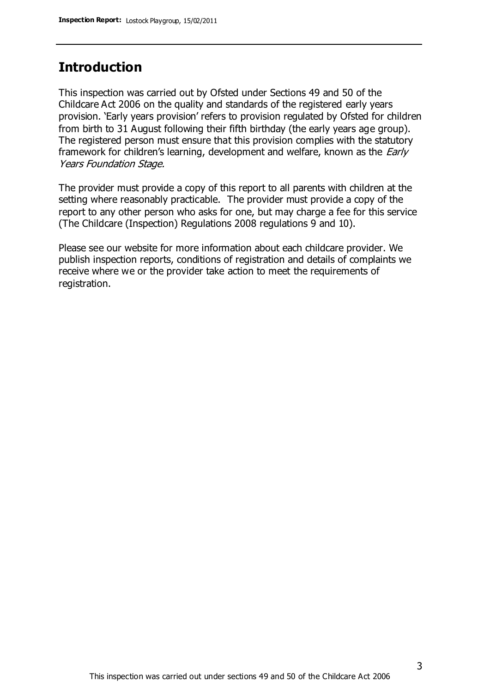# **Introduction**

This inspection was carried out by Ofsted under Sections 49 and 50 of the Childcare Act 2006 on the quality and standards of the registered early years provision. 'Early years provision' refers to provision regulated by Ofsted for children from birth to 31 August following their fifth birthday (the early years age group). The registered person must ensure that this provision complies with the statutory framework for children's learning, development and welfare, known as the *Early* Years Foundation Stage.

The provider must provide a copy of this report to all parents with children at the setting where reasonably practicable. The provider must provide a copy of the report to any other person who asks for one, but may charge a fee for this service (The Childcare (Inspection) Regulations 2008 regulations 9 and 10).

Please see our website for more information about each childcare provider. We publish inspection reports, conditions of registration and details of complaints we receive where we or the provider take action to meet the requirements of registration.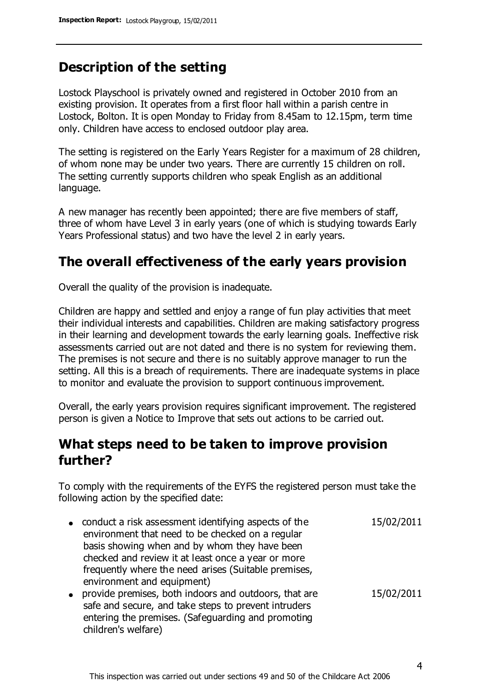# **Description of the setting**

Lostock Playschool is privately owned and registered in October 2010 from an existing provision. It operates from a first floor hall within a parish centre in Lostock, Bolton. It is open Monday to Friday from 8.45am to 12.15pm, term time only. Children have access to enclosed outdoor play area.

The setting is registered on the Early Years Register for a maximum of 28 children, of whom none may be under two years. There are currently 15 children on roll. The setting currently supports children who speak English as an additional language.

A new manager has recently been appointed; there are five members of staff, three of whom have Level 3 in early years (one of which is studying towards Early Years Professional status) and two have the level 2 in early years.

## **The overall effectiveness of the early years provision**

Overall the quality of the provision is inadequate.

Children are happy and settled and enjoy a range of fun play activities that meet their individual interests and capabilities. Children are making satisfactory progress in their learning and development towards the early learning goals. Ineffective risk assessments carried out are not dated and there is no system for reviewing them. The premises is not secure and there is no suitably approve manager to run the setting. All this is a breach of requirements. There are inadequate systems in place to monitor and evaluate the provision to support continuous improvement.

Overall, the early years provision requires significant improvement. The registered person is given a Notice to Improve that sets out actions to be carried out.

# **What steps need to be taken to improve provision further?**

To comply with the requirements of the EYFS the registered person must take the following action by the specified date:

- conduct a risk assessment identifying aspects of the environment that need to be checked on a regular basis showing when and by whom they have been checked and review it at least once a year or more frequently where the need arises (Suitable premises, environment and equipment) 15/02/2011 provide premises, both indoors and outdoors, that are 15/02/2011
- safe and secure, and take steps to prevent intruders entering the premises. (Safeguarding and promoting children's welfare)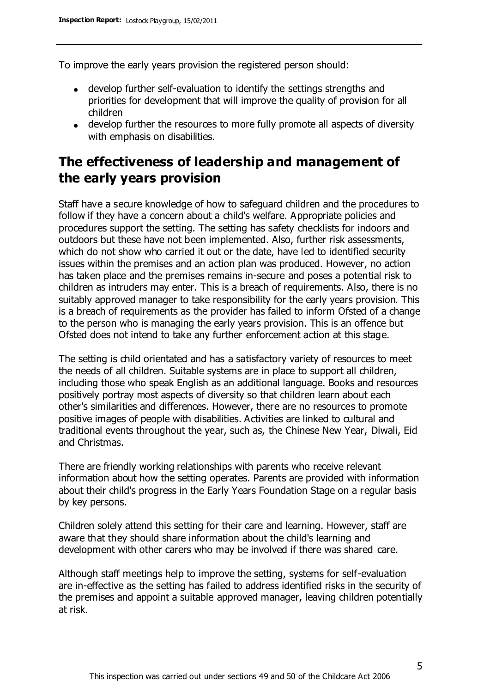To improve the early years provision the registered person should:

- develop further self-evaluation to identify the settings strengths and priorities for development that will improve the quality of provision for all children
- develop further the resources to more fully promote all aspects of diversity with emphasis on disabilities.

# **The effectiveness of leadership and management of the early years provision**

Staff have a secure knowledge of how to safeguard children and the procedures to follow if they have a concern about a child's welfare. Appropriate policies and procedures support the setting. The setting has safety checklists for indoors and outdoors but these have not been implemented. Also, further risk assessments, which do not show who carried it out or the date, have led to identified security issues within the premises and an action plan was produced. However, no action has taken place and the premises remains in-secure and poses a potential risk to children as intruders may enter. This is a breach of requirements. Also, there is no suitably approved manager to take responsibility for the early years provision. This is a breach of requirements as the provider has failed to inform Ofsted of a change to the person who is managing the early years provision. This is an offence but Ofsted does not intend to take any further enforcement action at this stage.

The setting is child orientated and has a satisfactory variety of resources to meet the needs of all children. Suitable systems are in place to support all children, including those who speak English as an additional language. Books and resources positively portray most aspects of diversity so that children learn about each other's similarities and differences. However, there are no resources to promote positive images of people with disabilities. Activities are linked to cultural and traditional events throughout the year, such as, the Chinese New Year, Diwali, Eid and Christmas.

There are friendly working relationships with parents who receive relevant information about how the setting operates. Parents are provided with information about their child's progress in the Early Years Foundation Stage on a regular basis by key persons.

Children solely attend this setting for their care and learning. However, staff are aware that they should share information about the child's learning and development with other carers who may be involved if there was shared care.

Although staff meetings help to improve the setting, systems for self-evaluation are in-effective as the setting has failed to address identified risks in the security of the premises and appoint a suitable approved manager, leaving children potentially at risk.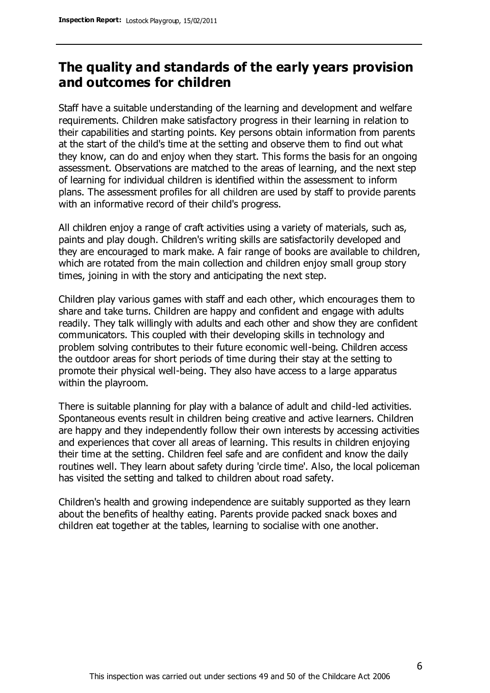# **The quality and standards of the early years provision and outcomes for children**

Staff have a suitable understanding of the learning and development and welfare requirements. Children make satisfactory progress in their learning in relation to their capabilities and starting points. Key persons obtain information from parents at the start of the child's time at the setting and observe them to find out what they know, can do and enjoy when they start. This forms the basis for an ongoing assessment. Observations are matched to the areas of learning, and the next step of learning for individual children is identified within the assessment to inform plans. The assessment profiles for all children are used by staff to provide parents with an informative record of their child's progress.

All children enjoy a range of craft activities using a variety of materials, such as, paints and play dough. Children's writing skills are satisfactorily developed and they are encouraged to mark make. A fair range of books are available to children, which are rotated from the main collection and children enjoy small group story times, joining in with the story and anticipating the next step.

Children play various games with staff and each other, which encourages them to share and take turns. Children are happy and confident and engage with adults readily. They talk willingly with adults and each other and show they are confident communicators. This coupled with their developing skills in technology and problem solving contributes to their future economic well-being. Children access the outdoor areas for short periods of time during their stay at the setting to promote their physical well-being. They also have access to a large apparatus within the playroom.

There is suitable planning for play with a balance of adult and child-led activities. Spontaneous events result in children being creative and active learners. Children are happy and they independently follow their own interests by accessing activities and experiences that cover all areas of learning. This results in children enjoying their time at the setting. Children feel safe and are confident and know the daily routines well. They learn about safety during 'circle time'. Also, the local policeman has visited the setting and talked to children about road safety.

Children's health and growing independence are suitably supported as they learn about the benefits of healthy eating. Parents provide packed snack boxes and children eat together at the tables, learning to socialise with one another.